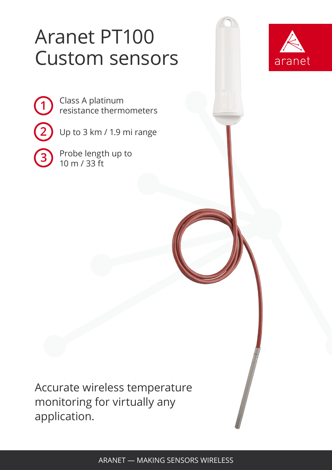# Aranet PT100 Custom sensors



Class A platinum resistance thermometers

Up to 3 km / 1.9 mi range

Probe length up to 10 m / 33 ft

**1**

**2**

**3**

Accurate wireless temperature monitoring for virtually any application.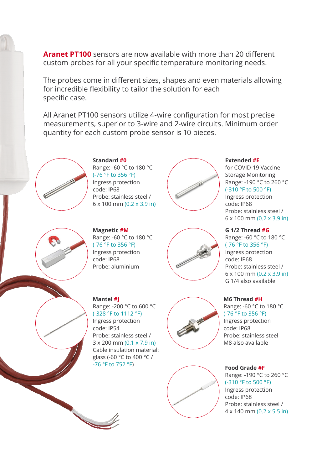**Aranet PT100** sensors are now available with more than 20 different custom probes for all your specific temperature monitoring needs.

The probes come in different sizes, shapes and even materials allowing for incredible flexibility to tailor the solution for each specific case.

All Aranet PT100 sensors utilize 4-wire configuration for most precise measurements, superior to 3-wire and 2-wire circuits. Minimum order quantity for each custom probe sensor is 10 pieces.



**Standard #0** Range: -60 °C to 180 °C (-76 °F to 356 °F) Ingress protection code: IP68 Probe: stainless steel /

6 x 100 mm (0.2 x 3.9 in)



**Extended #E**

for COVID-19 Vaccine Storage Monitoring Range: -190 °C to 260 °C (-310 °F to 500 °F) Ingress protection code: IP68 Probe: stainless steel /

6 x 100 mm (0.2 x 3.9 in)

### **G 1/2 Thread #G**

**M6 Thread #H**

code: IP68

Range: -60 °C to 180 °C (-76 °F to 356 °F) Ingress protection code: IP68 Probe: stainless steel / 6 x 100 mm (0.2 x 3.9 in) G 1/4 also available

Range: -60 °C to 180 °C (-76 °F to 356 °F) Ingress protection

Probe: stainless steel M8 also available



**Magnetic #M** Range: -60 °C to 180 °C (-76 °F to 356 °F) Ingress protection code: IP68 Probe: aluminium



#### **Mantel #J**

Range: -200 °C to 600 °C (-328 °F to 1112 °F) Ingress protection code: IP54 Probe: stainless steel / 3 x 200 mm (0.1 x 7.9 in) Cable insulation material: glass (-60 °C to 400 °C / -76 °F to 752 °F)





**Food Grade #F** Range: -190 °C to 260 °C (-310 °F to 500 °F) Ingress protection code: IP68 Probe: stainless steel / 4 x 140 mm (0.2 x 5.5 in)